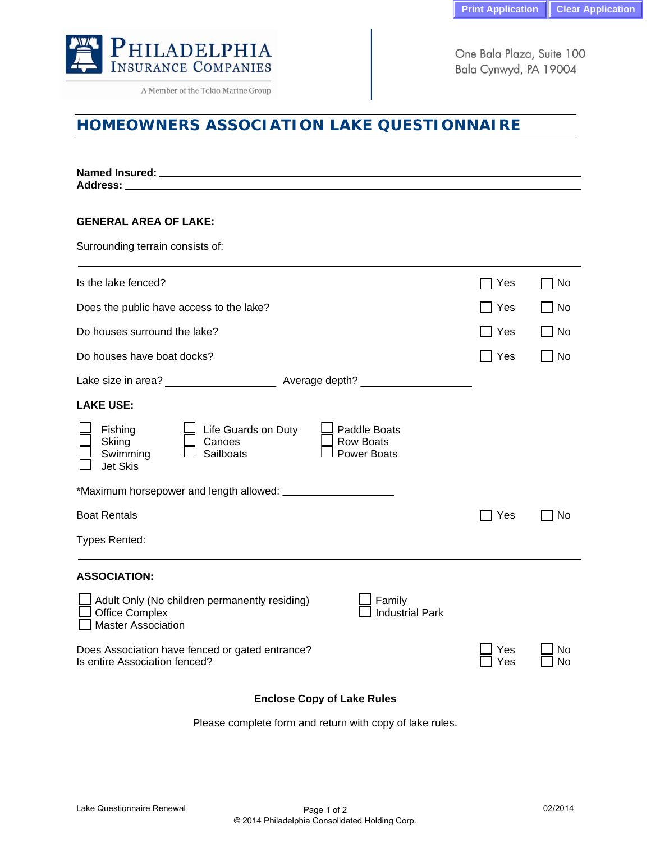

A Member of the Tokio Marine Group

One Bala Plaza, Suite 100 Bala Cynwyd, PA 19004

## **HOMEOWNERS ASSOCIATION LAKE QUESTIONNAIRE**

| Address:                                                                                                                                                 |            |          |
|----------------------------------------------------------------------------------------------------------------------------------------------------------|------------|----------|
| <b>GENERAL AREA OF LAKE:</b>                                                                                                                             |            |          |
| Surrounding terrain consists of:                                                                                                                         |            |          |
| Is the lake fenced?                                                                                                                                      | Yes        | No.      |
| Does the public have access to the lake?                                                                                                                 | Yes        | No.      |
| Do houses surround the lake?                                                                                                                             | Yes        | No.      |
| Do houses have boat docks?                                                                                                                               | Yes        | No.      |
|                                                                                                                                                          |            |          |
| <b>LAKE USE:</b>                                                                                                                                         |            |          |
| Life Guards on Duty<br>Paddle Boats<br>Fishing<br><b>Row Boats</b><br>Skiing<br>Canoes<br>Swimming<br>Sailboats<br><b>Power Boats</b><br><b>Jet Skis</b> |            |          |
|                                                                                                                                                          |            |          |
| <b>Boat Rentals</b>                                                                                                                                      | Yes        | No       |
| <b>Types Rented:</b>                                                                                                                                     |            |          |
| <b>ASSOCIATION:</b>                                                                                                                                      |            |          |
| Adult Only (No children permanently residing)<br>Family<br><b>Office Complex</b><br><b>Industrial Park</b><br><b>Master Association</b>                  |            |          |
| Does Association have fenced or gated entrance?<br>Is entire Association fenced?                                                                         | Yes<br>Yes | No<br>No |

## **Enclose Copy of Lake Rules**

Please complete form and return with copy of lake rules.